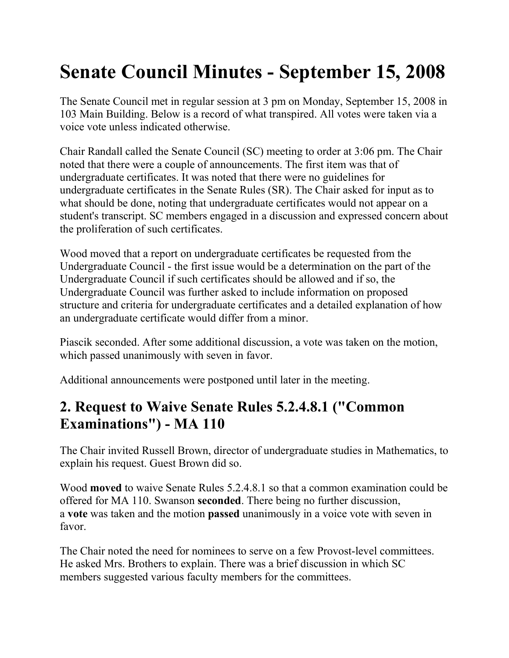# **Senate Council Minutes - September 15, 2008**

The Senate Council met in regular session at 3 pm on Monday, September 15, 2008 in 103 Main Building. Below is a record of what transpired. All votes were taken via a voice vote unless indicated otherwise.

Chair Randall called the Senate Council (SC) meeting to order at 3:06 pm. The Chair noted that there were a couple of announcements. The first item was that of undergraduate certificates. It was noted that there were no guidelines for undergraduate certificates in the Senate Rules (SR). The Chair asked for input as to what should be done, noting that undergraduate certificates would not appear on a student's transcript. SC members engaged in a discussion and expressed concern about the proliferation of such certificates.

Wood moved that a report on undergraduate certificates be requested from the Undergraduate Council - the first issue would be a determination on the part of the Undergraduate Council if such certificates should be allowed and if so, the Undergraduate Council was further asked to include information on proposed structure and criteria for undergraduate certificates and a detailed explanation of how an undergraduate certificate would differ from a minor.

Piascik seconded. After some additional discussion, a vote was taken on the motion, which passed unanimously with seven in favor.

Additional announcements were postponed until later in the meeting.

## **2. Request to Waive Senate Rules 5.2.4.8.1 ("Common Examinations") - MA 110**

The Chair invited Russell Brown, director of undergraduate studies in Mathematics, to explain his request. Guest Brown did so.

Wood **moved** to waive Senate Rules 5.2.4.8.1 so that a common examination could be offered for MA 110. Swanson **seconded**. There being no further discussion, a **vote** was taken and the motion **passed** unanimously in a voice vote with seven in favor.

The Chair noted the need for nominees to serve on a few Provost-level committees. He asked Mrs. Brothers to explain. There was a brief discussion in which SC members suggested various faculty members for the committees.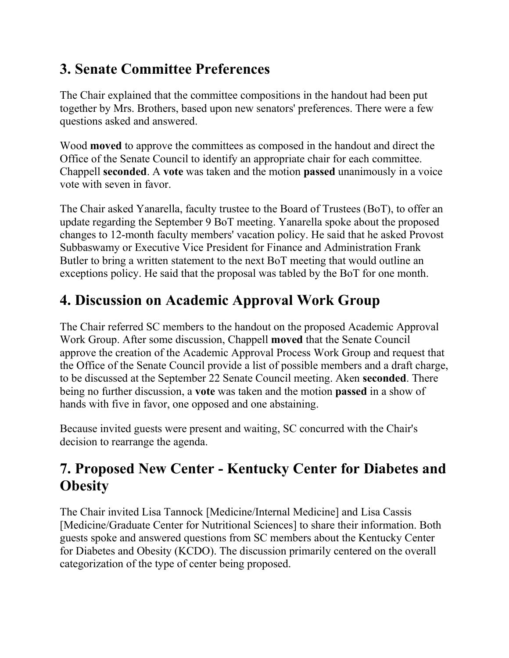# **3. Senate Committee Preferences**

The Chair explained that the committee compositions in the handout had been put together by Mrs. Brothers, based upon new senators' preferences. There were a few questions asked and answered.

Wood **moved** to approve the committees as composed in the handout and direct the Office of the Senate Council to identify an appropriate chair for each committee. Chappell **seconded**. A **vote** was taken and the motion **passed** unanimously in a voice vote with seven in favor.

The Chair asked Yanarella, faculty trustee to the Board of Trustees (BoT), to offer an update regarding the September 9 BoT meeting. Yanarella spoke about the proposed changes to 12-month faculty members' vacation policy. He said that he asked Provost Subbaswamy or Executive Vice President for Finance and Administration Frank Butler to bring a written statement to the next BoT meeting that would outline an exceptions policy. He said that the proposal was tabled by the BoT for one month.

# **4. Discussion on Academic Approval Work Group**

The Chair referred SC members to the handout on the proposed Academic Approval Work Group. After some discussion, Chappell **moved** that the Senate Council approve the creation of the Academic Approval Process Work Group and request that the Office of the Senate Council provide a list of possible members and a draft charge, to be discussed at the September 22 Senate Council meeting. Aken **seconded**. There being no further discussion, a **vote** was taken and the motion **passed** in a show of hands with five in favor, one opposed and one abstaining.

Because invited guests were present and waiting, SC concurred with the Chair's decision to rearrange the agenda.

## **7. Proposed New Center - Kentucky Center for Diabetes and Obesity**

The Chair invited Lisa Tannock [Medicine/Internal Medicine] and Lisa Cassis [Medicine/Graduate Center for Nutritional Sciences] to share their information. Both guests spoke and answered questions from SC members about the Kentucky Center for Diabetes and Obesity (KCDO). The discussion primarily centered on the overall categorization of the type of center being proposed.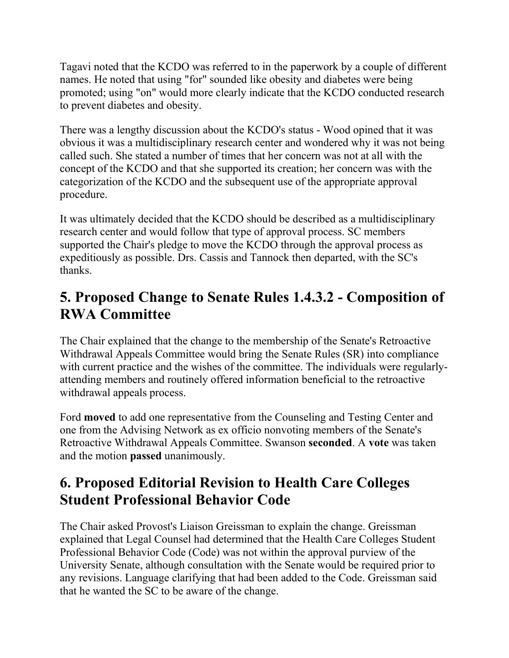Tagavi noted that the KCDO was referred to in the paperwork by a couple of different names. He noted that using "for" sounded like obesity and diabetes were being promoted; using "on" would more clearly indicate that the KCDO conducted research to prevent diabetes and obesity.

There was a lengthy discussion about the KCDO's status - Wood opined that it was obvious it was a multidisciplinary research center and wondered why it was not being called such. She stated a number of times that her concern was not at all with the concept of the KCDO and that she supported its creation; her concern was with the categorization of the KCDO and the subsequent use of the appropriate approval procedure.

It was ultimately decided that the KCDO should be described as a multidisciplinary research center and would follow that type of approval process. SC members supported the Chair's pledge to move the KCDO through the approval process as expeditiously as possible. Drs. Cassis and Tannock then departed, with the SC's thanks.

#### **5. Proposed Change to Senate Rules 1.4.3.2 - Composition of RWA Committee**

The Chair explained that the change to the membership of the Senate's Retroactive Withdrawal Appeals Committee would bring the Senate Rules (SR) into compliance with current practice and the wishes of the committee. The individuals were regularlyattending members and routinely offered information beneficial to the retroactive withdrawal appeals process.

Ford **moved** to add one representative from the Counseling and Testing Center and one from the Advising Network as ex officio nonvoting members of the Senate's Retroactive Withdrawal Appeals Committee. Swanson **seconded**. A **vote** was taken and the motion **passed** unanimously.

## **6. Proposed Editorial Revision to Health Care Colleges Student Professional Behavior Code**

The Chair asked Provost's Liaison Greissman to explain the change. Greissman explained that Legal Counsel had determined that the Health Care Colleges Student Professional Behavior Code (Code) was not within the approval purview of the University Senate, although consultation with the Senate would be required prior to any revisions. Language clarifying that had been added to the Code. Greissman said that he wanted the SC to be aware of the change.